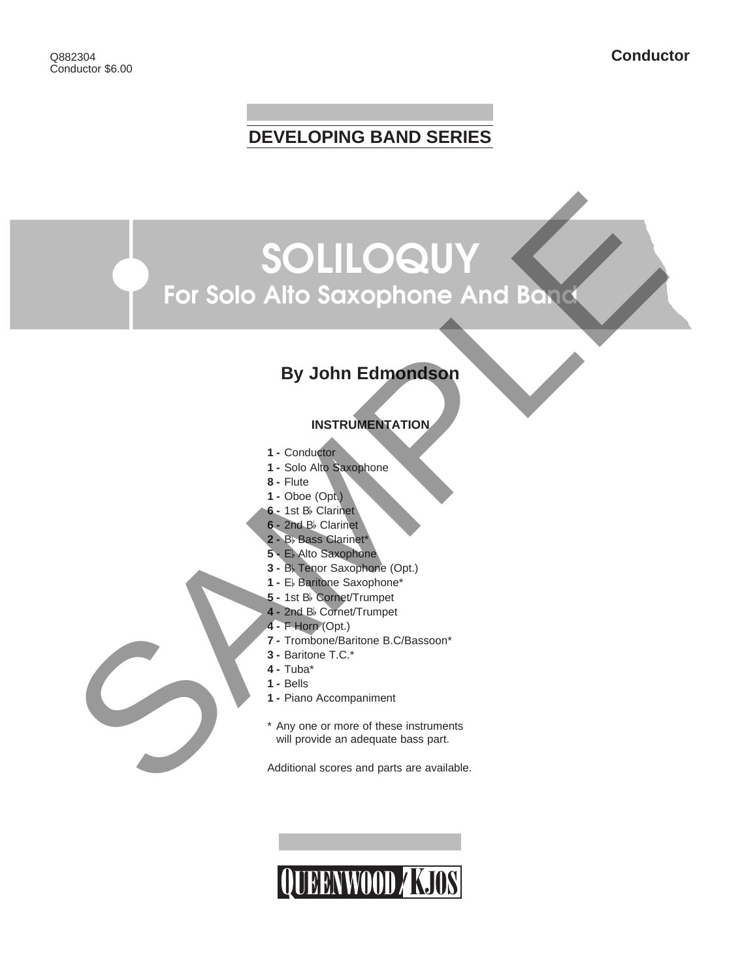# **DEVELOPING BAND SERIES**

# SOLILOQUY For Solo Alto Saxophone And Band SOLILOQUY<br>
For Solo Alto Saxophone And Band<br>
By John Edmondson<br>
INSTRUMENTATION<br>
ISSNAM Supply<br>
ISSNAM Supply<br>
ISSNAM Supply<br>
ISSNAM Supply<br>
ISSNAM Supply<br>
ISSNAM Supply<br>
ISSNAM Supply<br>
ISSNAM SUPPLY<br>
ISSNAM SUPPLY<br>
ISSNAM

## **By John Edmondson**

### **INSTRUMENTATION**

- **1 -** Conductor
- **1 -** Solo Alto Saxophone
- **8 -** Flute
- **1 -** Oboe (Opt.)
- **6 -** 1st Bb Clarinet
- **6 -** 2nd Bb Clarinet
- **2 -** Bb Bass Clarinet\*
- **5 -** Eb Alto Saxophone
- **3 -** Bb Tenor Saxophone (Opt.)
- **1 -** Eb Baritone Saxophone\*
- **5 -** 1st Bb Cornet/Trumpet
- **4 -** 2nd Bb Cornet/Trumpet
- **4 -** F Horn (Opt.)
- **7 -** Trombone/Baritone B.C/Bassoon\*
- **3 -** Baritone T.C.\*
- **4 -** Tuba\*
- **1 -** Bells
- **1 -** Piano Accompaniment
- \* Any one or more of these instruments will provide an adequate bass part.

Additional scores and parts are available.

# **QUEENWOOD / KJOS**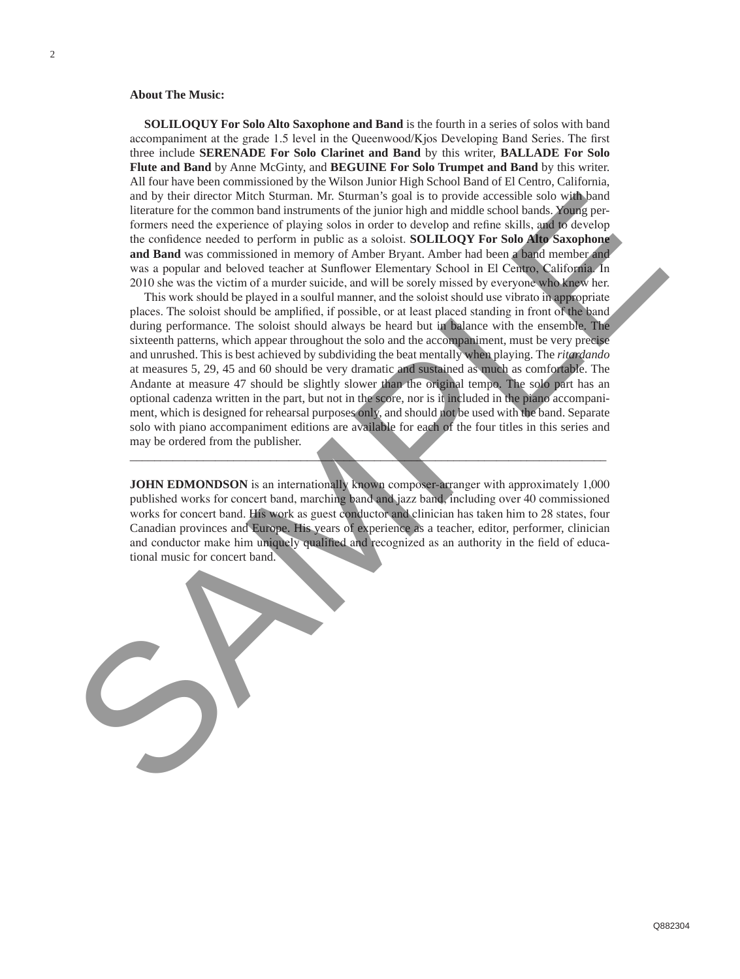### **About The Music:**

**SOLILOQUY For Solo Alto Saxophone and Band** is the fourth in a series of solos with band accompaniment at the grade 1.5 level in the Queenwood/Kjos Developing Band Series. The first three include **SERENADE For Solo Clarinet and Band** by this writer, **BALLADE For Solo Flute and Band** by Anne McGinty, and **BEGUINE For Solo Trumpet and Band** by this writer. All four have been commissioned by the Wilson Junior High School Band of El Centro, California, and by their director Mitch Sturman. Mr. Sturman's goal is to provide accessible solo with band literature for the common band instruments of the junior high and middle school bands. Young performers need the experience of playing solos in order to develop and refine skills, and to develop the confidence needed to perform in public as a soloist. **SOLILOQY For Solo Alto Saxophone and Band** was commissioned in memory of Amber Bryant. Amber had been a band member and was a popular and beloved teacher at Sunflower Elementary School in El Centro, California. In 2010 she was the victim of a murder suicide, and will be sorely missed by everyone who knew her.

This work should be played in a soulful manner, and the soloist should use vibrato in appropriate places. The soloist should be amplified, if possible, or at least placed standing in front of the band during performance. The soloist should always be heard but in balance with the ensemble. The sixteenth patterns, which appear throughout the solo and the accompaniment, must be very precise and unrushed. This is best achieved by subdividing the beat mentally when playing. The *ritardando* at measures 5, 29, 45 and 60 should be very dramatic and sustained as much as comfortable. The Andante at measure 47 should be slightly slower than the original tempo. The solo part has an optional cadenza written in the part, but not in the score, nor is it included in the piano accompaniment, which is designed for rehearsal purposes only, and should not be used with the band. Separate solo with piano accompaniment editions are available for each of the four titles in this series and may be ordered from the publisher. and by their director Mich Sturman. Mr. Shamma's goal is to provide accessible solo with the<br>matter of the contribute between the summer space of the particle particle particle of the<br>distribution for the contribution of t

**JOHN EDMONDSON** is an internationally known composer-arranger with approximately 1,000 published works for concert band, marching band and jazz band, including over 40 commissioned works for concert band. His work as guest conductor and clinician has taken him to 28 states, four Canadian provinces and Europe. His years of experience as a teacher, editor, performer, clinician and conductor make him uniquely qualified and recognized as an authority in the field of educational music for concert band.

\_\_\_\_\_\_\_\_\_\_\_\_\_\_\_\_\_\_\_\_\_\_\_\_\_\_\_\_\_\_\_\_\_\_\_\_\_\_\_\_\_\_\_\_\_\_\_\_\_\_\_\_\_\_\_\_\_\_\_\_\_\_\_\_\_\_\_\_\_\_\_\_\_\_\_\_\_\_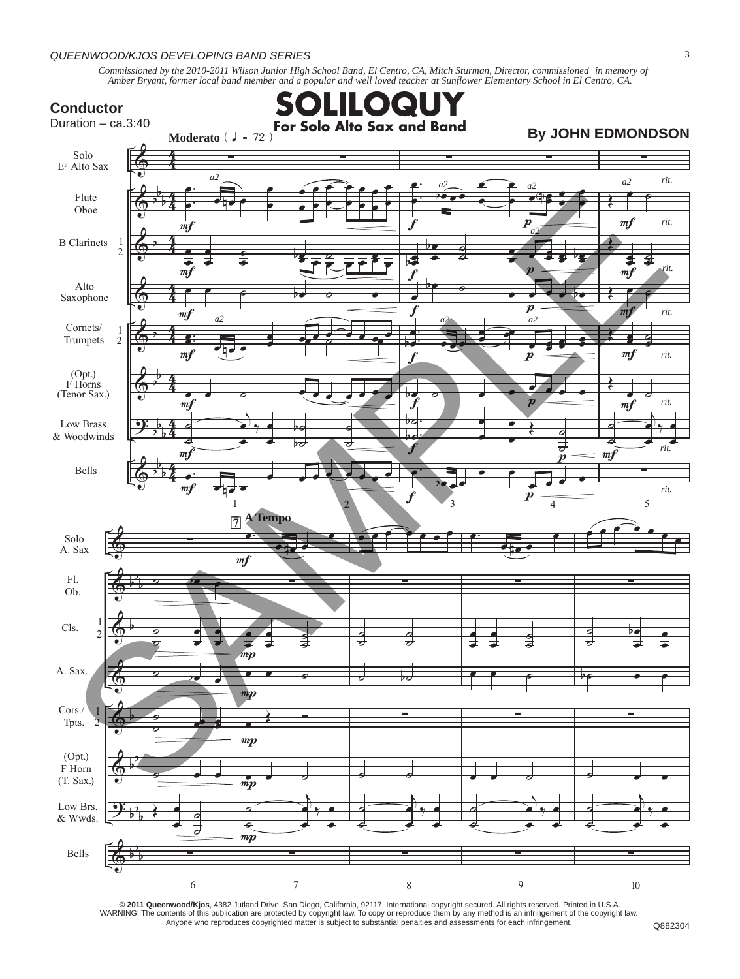### *QUEENWOOD/KJOS DEVELOPING BAND SERIES*

 *Commissioned by the 2010-2011 Wilson Junior High School Band, El Centro, CA, Mitch Sturman, Director, commissioned in memory of Amber Bryant, former local band member and a popular and well loved teacher at Sunflower Elementary School in El Centro, CA.* 



© 2011 Queenwood/Kjos, 4382 Jutland Drive, San Diego, California, 92117. International copyright secured. All rights reserved. Printed in U.S.A.<br>WARNING! The contents of this publication are protected by copyright law. To Anyone who reproduces copyrighted matter is subject to substantial penalties and assessments for each infringement.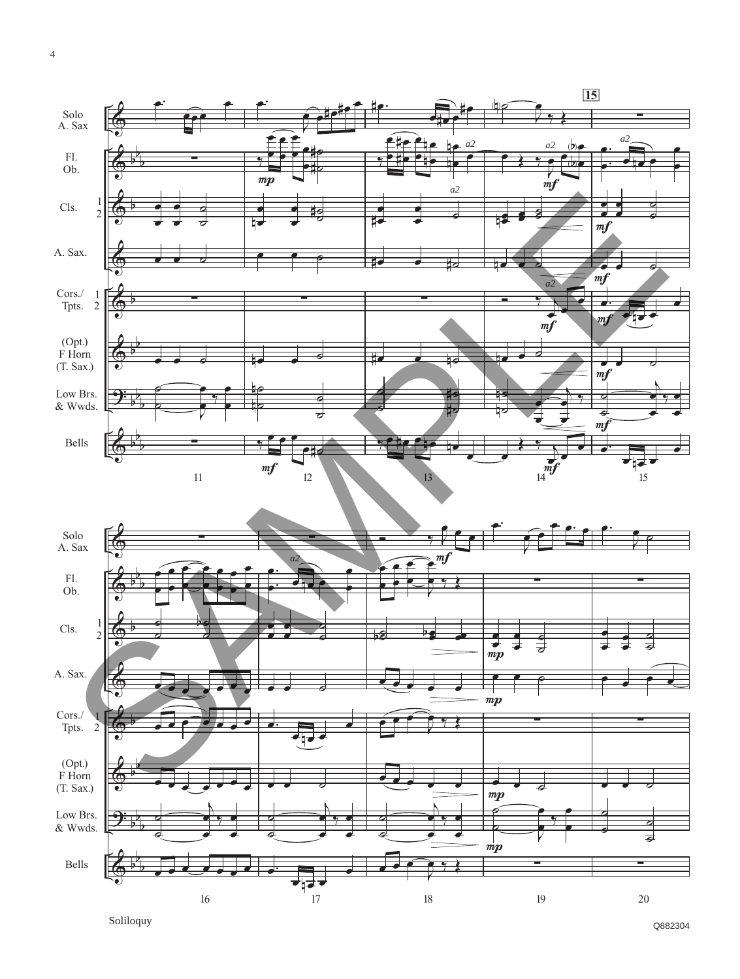



Soliloquy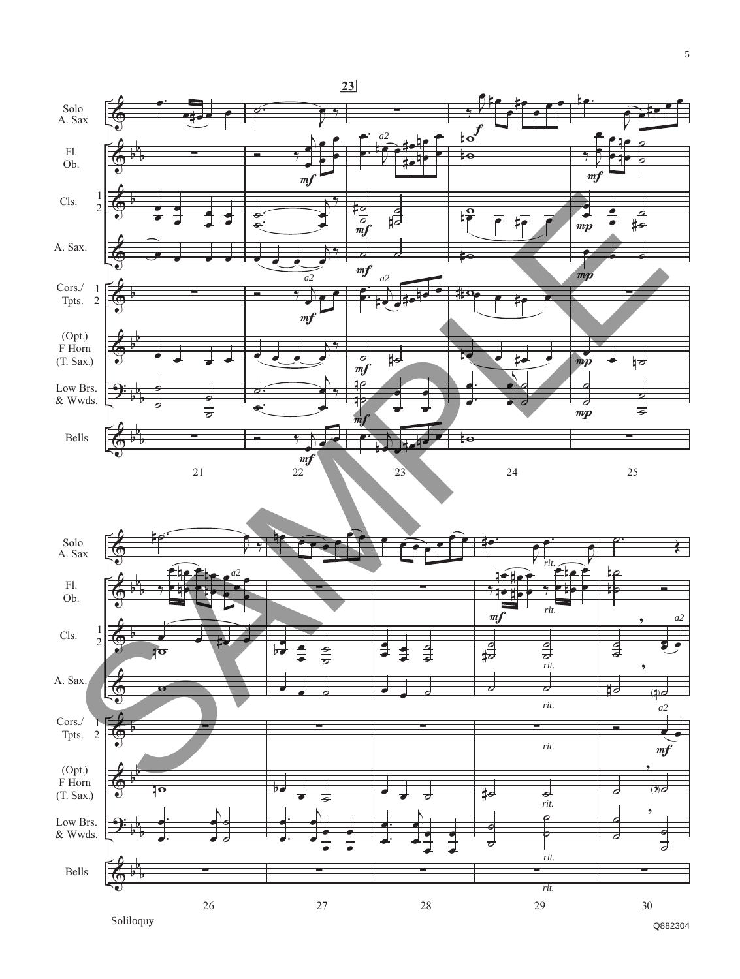

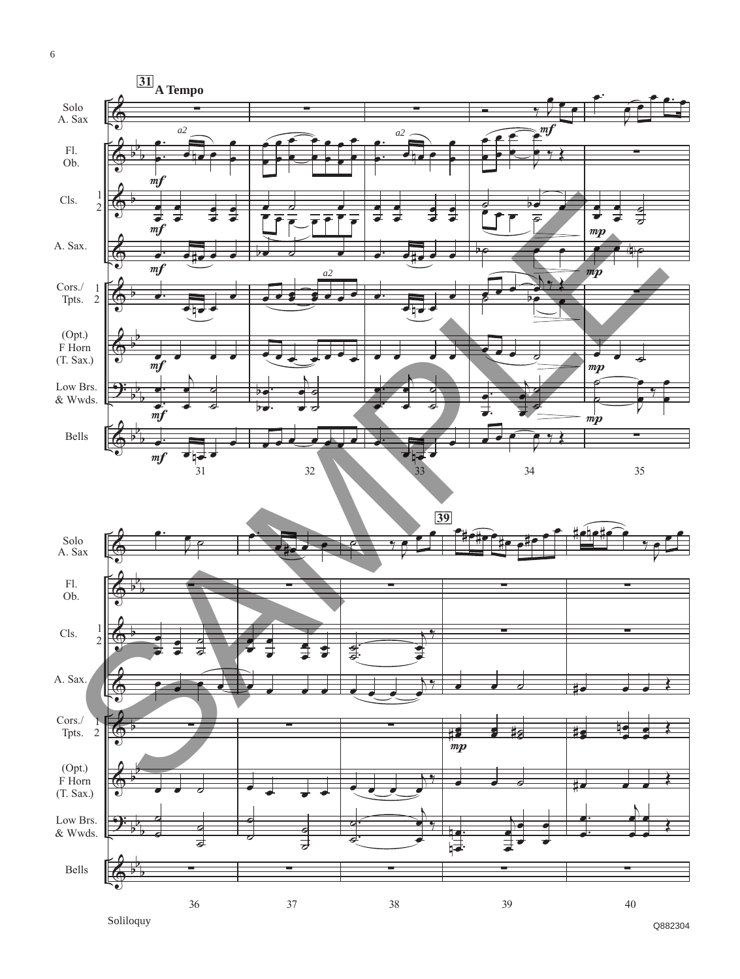



Q882304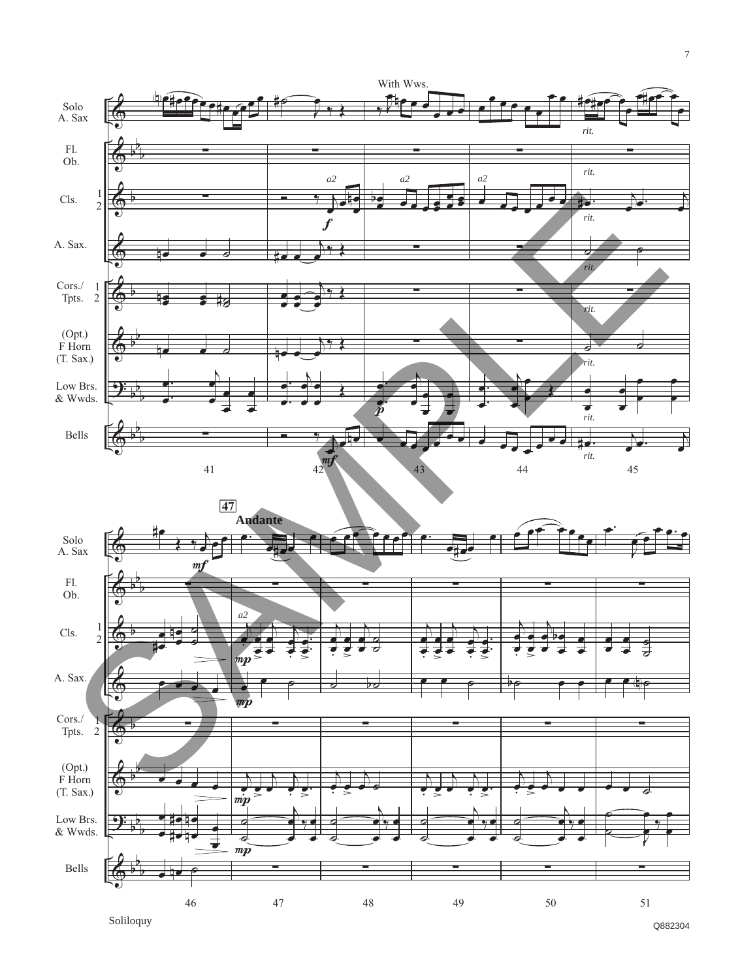